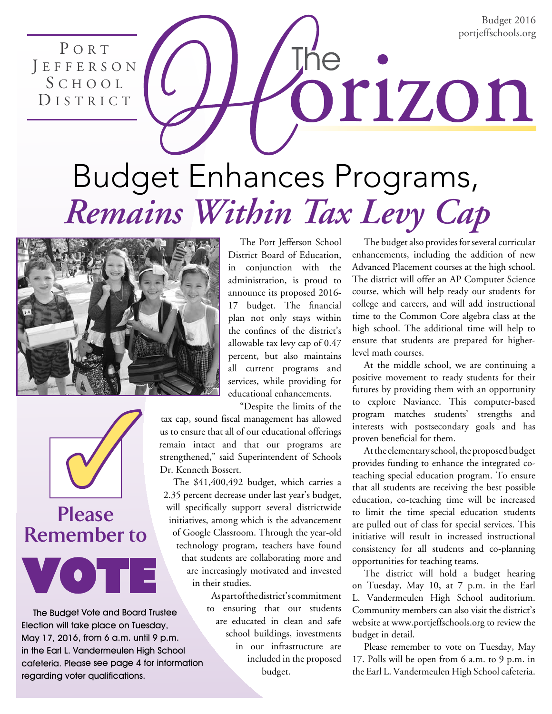Budget 2016 portjeffschools.org

P O R T J E F F E R S O N S c h o o l DISTRICT

# Budget Enhances Programs, *Remains Within Tax Levy Cap*





# **Please Remember to**

Vote

The Budget Vote and Board Trustee Election will take place on Tuesday, May 17, 2016, from 6 a.m. until 9 p.m. in the Earl L. Vandermeulen High School cafeteria. Please see page 4 for information regarding voter qualifications.

The Port Jefferson School District Board of Education, in conjunction with the administration, is proud to announce its proposed 2016- 17 budget. The financial plan not only stays within the confines of the district's allowable tax levy cap of 0.47 percent, but also maintains all current programs and services, while providing for educational enhancements.

"Despite the limits of the tax cap, sound fiscal management has allowed us to ensure that all of our educational offerings remain intact and that our programs are strengthened," said Superintendent of Schools Dr. Kenneth Bossert.

The \$41,400,492 budget, which carries a 2.35 percent decrease under last year's budget, will specifically support several districtwide initiatives, among which is the advancement of Google Classroom. Through the year-old technology program, teachers have found that students are collaborating more and are increasingly motivated and invested in their studies.

> As part of the district's commitment to ensuring that our students are educated in clean and safe school buildings, investments in our infrastructure are included in the proposed budget.

The budget also provides for several curricular enhancements, including the addition of new Advanced Placement courses at the high school. The district will offer an AP Computer Science course, which will help ready our students for college and careers, and will add instructional time to the Common Core algebra class at the high school. The additional time will help to ensure that students are prepared for higherlevel math courses.

orizon

At the middle school, we are continuing a positive movement to ready students for their futures by providing them with an opportunity to explore Naviance. This computer-based program matches students' strengths and interests with postsecondary goals and has proven beneficial for them.

At the elementary school, the proposed budget provides funding to enhance the integrated coteaching special education program. To ensure that all students are receiving the best possible education, co-teaching time will be increased to limit the time special education students are pulled out of class for special services. This initiative will result in increased instructional consistency for all students and co-planning opportunities for teaching teams.

The district will hold a budget hearing on Tuesday, May 10, at 7 p.m. in the Earl L. Vandermeulen High School auditorium. Community members can also visit the district's website at www.portjeffschools.org to review the budget in detail.

Please remember to vote on Tuesday, May 17. Polls will be open from 6 a.m. to 9 p.m. in the Earl L. Vandermeulen High School cafeteria.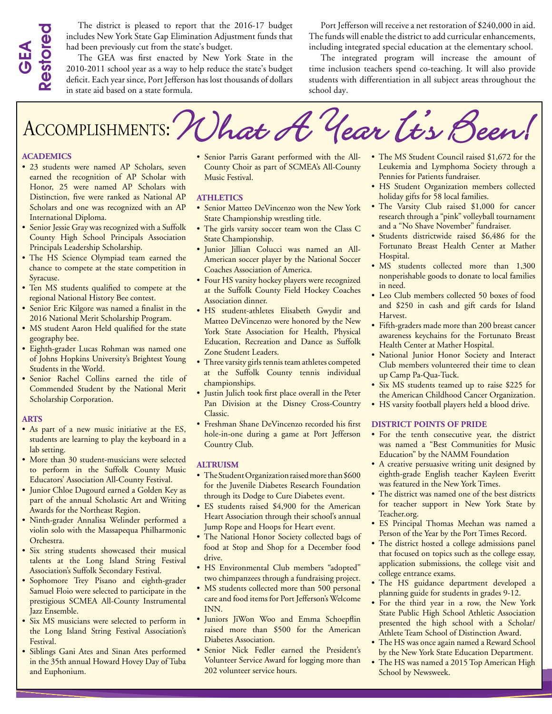The district is pleased to report that the 2016-17 budget includes New York State Gap Elimination Adjustment funds that had been previously cut from the state's budget.

The GEA was first enacted by New York State in the 2010-2011 school year as a way to help reduce the state's budget deficit. Each year since, Port Jefferson has lost thousands of dollars in state aid based on a state formula.

Port Jefferson will receive a net restoration of \$240,000 in aid. The funds will enable the district to add curricular enhancements, including integrated special education at the elementary school.

The integrated program will increase the amount of time inclusion teachers spend co-teaching. It will also provide students with differentiation in all subject areas throughout the school day.

# The district is piesased to report that the 2010-1/ bugget<br>
ancludes New York State Game Elimination Adjustment funds that<br>
and been previously cut from the state's budget.<br>
Accomplishment funds that<br>
and been previously c

#### **Academics**

- 23 students were named AP Scholars, seven earned the recognition of AP Scholar with Honor, 25 were named AP Scholars with Distinction, five were ranked as National AP Scholars and one was recognized with an AP International Diploma.
- Senior Jessie Gray was recognized with a Suffolk County High School Principals Association Principals Leadership Scholarship.
- The HS Science Olympiad team earned the chance to compete at the state competition in Syracuse.
- Ten MS students qualified to compete at the regional National History Bee contest.
- Senior Eric Kilgore was named a finalist in the 2016 National Merit Scholarship Program.
- MS student Aaron Held qualified for the state geography bee.
- Eighth-grader Lucas Rohman was named one of Johns Hopkins University's Brightest Young Students in the World.
- Senior Rachel Collins earned the title of Commended Student by the National Merit Scholarship Corporation.

#### **Arts**

- As part of a new music initiative at the ES, students are learning to play the keyboard in a lab setting.
- More than 30 student-musicians were selected to perform in the Suffolk County Music Educators' Association All-County Festival.
- Junior Chloe Dugourd earned a Golden Key as part of the annual Scholastic Art and Writing Awards for the Northeast Region.
- Ninth-grader Annalisa Welinder performed a violin solo with the Massapequa Philharmonic Orchestra.
- Six string students showcased their musical talents at the Long Island String Festival Association's Suffolk Secondary Festival.
- Sophomore Trey Pisano and eighth-grader Samuel Floio were selected to participate in the prestigious SCMEA All-County Instrumental Jazz Ensemble.
- Six MS musicians were selected to perform in the Long Island String Festival Association's Festival.
- Siblings Gani Ates and Sinan Ates performed in the 35th annual Howard Hovey Day of Tuba and Euphonium.

• Senior Parris Garant performed with the All-County Choir as part of SCMEA's All-County Music Festival.

#### **Athletics**

- Senior Matteo DeVincenzo won the New York State Championship wrestling title.
- The girls varsity soccer team won the Class C State Championship.
- Junior Jillian Colucci was named an All-American soccer player by the National Soccer Coaches Association of America.
- Four HS varsity hockey players were recognized at the Suffolk County Field Hockey Coaches Association dinner.
- HS student-athletes Elisabeth Gwydir and Matteo DeVincenzo were honored by the New York State Association for Health, Physical Education, Recreation and Dance as Suffolk Zone Student Leaders.
- Three varsity girls tennis team athletes competed at the Suffolk County tennis individual championships.
- Justin Julich took first place overall in the Peter Pan Division at the Disney Cross-Country Classic.
- Freshman Shane DeVincenzo recorded his first hole-in-one during a game at Port Jefferson Country Club.

#### **Altruism**

- The Student Organization raised more than \$600 for the Juvenile Diabetes Research Foundation through its Dodge to Cure Diabetes event.
- ES students raised \$4,900 for the American Heart Association through their school's annual Jump Rope and Hoops for Heart event.
- The National Honor Society collected bags of food at Stop and Shop for a December food drive.
- HS Environmental Club members "adopted" two chimpanzees through a fundraising project.
- MS students collected more than 500 personal care and food items for Port Jefferson's Welcome INN.
- Juniors JiWon Woo and Emma Schoepflin raised more than \$500 for the American Diabetes Association.
- Senior Nick Fedler earned the President's Volunteer Service Award for logging more than 202 volunteer service hours.
- The MS Student Council raised \$1,672 for the Leukemia and Lymphoma Society through a Pennies for Patients fundraiser.
- HS Student Organization members collected holiday gifts for 58 local families.
- The Varsity Club raised \$1,000 for cancer research through a "pink" volleyball tournament and a "No Shave November" fundraiser.
- Students districtwide raised \$6,486 for the Fortunato Breast Health Center at Mather Hospital.
- MS students collected more than 1,300 nonperishable goods to donate to local families in need.
- Leo Club members collected 50 boxes of food and \$250 in cash and gift cards for Island Harvest.
- Fifth-graders made more than 200 breast cancer awareness keychains for the Fortunato Breast Health Center at Mather Hospital.
- National Junior Honor Society and Interact Club members volunteered their time to clean up Camp Pa-Qua-Tuck.
- Six MS students teamed up to raise \$225 for the American Childhood Cancer Organization.
- HS varsity football players held a blood drive.

### **District Points of Pride**

- For the tenth consecutive year, the district was named a "Best Communities for Music Education" by the NAMM Foundation
- A creative persuasive writing unit designed by eighth-grade English teacher Kayleen Everitt was featured in the New York Times.
- The district was named one of the best districts for teacher support in New York State by Teacher.org.
- ES Principal Thomas Meehan was named a Person of the Year by the Port Times Record.
- The district hosted a college admissions panel that focused on topics such as the college essay, application submissions, the college visit and college entrance exams.
- The HS guidance department developed a planning guide for students in grades 9-12.
- For the third year in a row, the New York State Public High School Athletic Association presented the high school with a Scholar/ Athlete Team School of Distinction Award.
- The HS was once again named a Reward School by the New York State Education Department.
- The HS was named a 2015 Top American High School by Newsweek.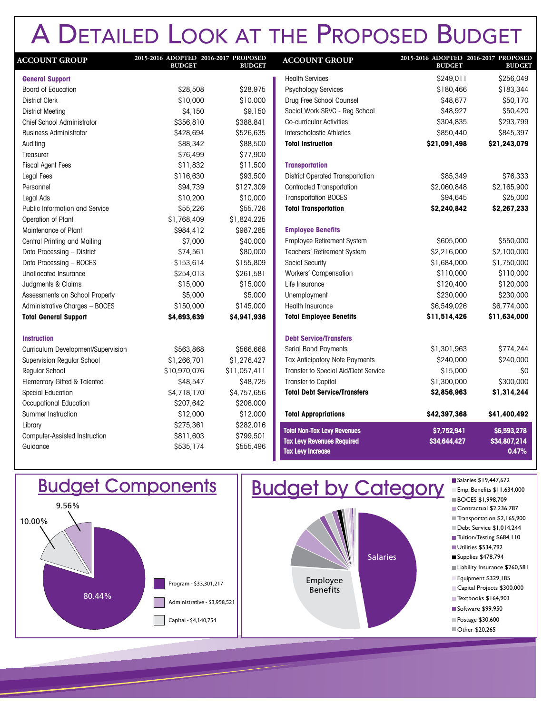# A Detailed Look at the Proposed Budget

| <b>ACCOUNT GROUP</b>                  | 2015-2016 ADOPTED 2016-2017 PROPOSED<br><b>BUDGET</b> | <b>BUDGET</b> | <b>ACCC</b>     |
|---------------------------------------|-------------------------------------------------------|---------------|-----------------|
| <b>General Support</b>                |                                                       |               | Health          |
| <b>Board of Education</b>             | \$28,508                                              | \$28,975      | <b>Psych</b>    |
| <b>District Clerk</b>                 | \$10,000                                              | \$10,000      | Drug F          |
| <b>District Meeting</b>               | \$4,150                                               | \$9,150       | Social          |
| <b>Chief School Administrator</b>     | \$356,810                                             | \$388,841     | Co-cui          |
| <b>Business Administrator</b>         | \$428,694                                             | \$526,635     | Intersc         |
| Auditing                              | \$88,342                                              | \$88,500      | <b>Total I</b>  |
| Treasurer                             | \$76,499                                              | \$77,900      |                 |
| <b>Fiscal Agent Fees</b>              | \$11,832                                              | \$11,500      | <b>Transp</b>   |
| Legal Fees                            | \$116,630                                             | \$93,500      | <b>Distric</b>  |
| Personnel                             | \$94,739                                              | \$127,309     | Contra          |
| Legal Ads                             | \$10,200                                              | \$10,000      | Transp          |
| <b>Public Information and Service</b> | \$55,226                                              | \$55,726      | Total 1         |
| Operation of Plant                    | \$1,768,409                                           | \$1,824,225   |                 |
| Maintenance of Plant                  | \$984,412                                             | \$987,285     | <b>Emplo</b>    |
| Central Printing and Mailing          | \$7,000                                               | \$40,000      | Emplo           |
| Data Processing - District            | \$74,561                                              | \$80,000      | <b>Teach</b>    |
| Data Processing - BOCES               | \$153,614                                             | \$155,809     | Social          |
| Unallocated Insurance                 | \$254,013                                             | \$261,581     | Worke           |
| Judgments & Claims                    | \$15,000                                              | \$15,000      | Life In:        |
| Assessments on School Property        | \$5,000                                               | \$5,000       | Unemp           |
| Administrative Charges - BOCES        | \$150,000                                             | \$145,000     | Health          |
| <b>Total General Support</b>          | \$4,693,639                                           | \$4,941,936   | <b>Total</b>    |
| <b>Instruction</b>                    |                                                       |               | Debt S          |
| Curriculum Development/Supervision    | \$563,868                                             | \$566,668     | Serial          |
| Supervision Regular School            | \$1,266,701                                           | \$1,276,427   | Tax Ar          |
| Regular School                        | \$10,970,076                                          | \$11,057,411  | Transf          |
| Elementary Gifted & Talented          | \$48,547                                              | \$48,725      | Transf          |
| <b>Special Education</b>              | \$4,718,170                                           | \$4,757,656   | Total I         |
| Occupational Education                | \$207,642                                             | \$208,000     |                 |
| Summer Instruction                    | \$12,000                                              | \$12,000      | Total /         |
| Library                               | \$275,361                                             | \$282,016     | <b>Total No</b> |
| Computer-Assisted Instruction         | \$811,603                                             | \$799,501     | <b>Tax Lev</b>  |
| Guidance                              | \$535,174                                             | \$555,496     | <b>Tax Lev</b>  |
|                                       |                                                       |               |                 |

| 2015-2016 ADOPTED 2016-2017 PROPOSED<br><b>BUDGET</b> | <b>BUDGET</b>                        |
|-------------------------------------------------------|--------------------------------------|
| \$249,011                                             | \$256,049                            |
| \$180,466                                             | \$183,344                            |
| \$48,677                                              | \$50,170                             |
| \$48,927                                              | \$50,420                             |
| \$304,835                                             | \$293,799                            |
| \$850,440                                             | \$845,397                            |
| \$21,091,498                                          | \$21,243,079                         |
|                                                       |                                      |
| \$85,349                                              | \$76,333                             |
| \$2,060,848                                           | \$2,165,900                          |
| \$94,645                                              | \$25,000                             |
| \$2,240,842                                           | \$2,267,233                          |
|                                                       |                                      |
| \$605,000                                             | \$550,000                            |
|                                                       | \$2,100,000                          |
| \$1,684,000                                           | \$1,750,000                          |
| \$110,000                                             | \$110,000                            |
| \$120,400                                             | \$120,000                            |
| \$230,000                                             | \$230,000                            |
| \$6,549,026                                           | \$6,774,000                          |
| \$11,514,426                                          | \$11,634,000                         |
|                                                       |                                      |
| \$1,301,963                                           | \$774,244                            |
| \$240,000                                             | \$240,000                            |
| \$15,000                                              | \$0                                  |
| \$1,300,000                                           | \$300,000                            |
| \$2,856,963                                           | \$1,314,244                          |
| \$42,397,368                                          | \$41,400,492                         |
| \$7,752,941<br>\$34,644,427                           | \$6,593,278<br>\$34,807,214<br>0.47% |
|                                                       | \$2,216,000                          |



Salaries \$19,447,672



Salaries \$19,447,672 Emp. Benefits \$11,634,000 BOCES \$1,998,709 Contractual \$2,236,787 Transportation \$2,165,900 Debt Service \$1,014,244 Tuition/Testing \$684, I 10 Utilities \$534,792 ■ Supplies \$478,794 Liability Insurance \$260,581 Equipment \$329,185 Textbooks \$164,903 Capital Projects \$300,000 Other \$20,265 Software \$99,950 Postage \$30,600